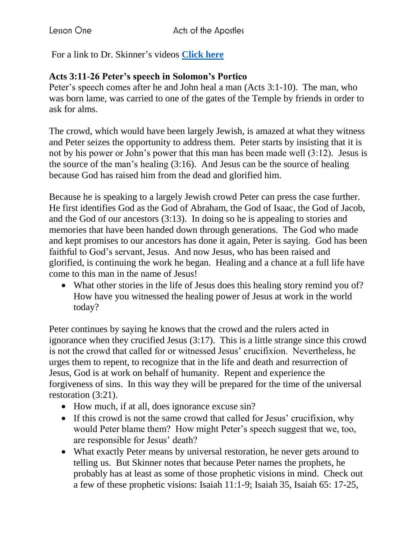For a link to Dr. Skinner's videos **[Click here](https://my.amplifymedia.com/amplify/series/unitedmethodistpublishinghouse/30870-acts?fbclid=IwAR3ywGl_HyjOrXPLm8tDJBlnJFFMu-UlPSUogvcW6GrNOJ660HmK3nUMN-U)**

## **Acts 3:11-26 Peter's speech in Solomon's Portico**

Peter's speech comes after he and John heal a man (Acts 3:1-10). The man, who was born lame, was carried to one of the gates of the Temple by friends in order to ask for alms.

The crowd, which would have been largely Jewish, is amazed at what they witness and Peter seizes the opportunity to address them. Peter starts by insisting that it is not by his power or John's power that this man has been made well (3:12). Jesus is the source of the man's healing (3:16). And Jesus can be the source of healing because God has raised him from the dead and glorified him.

Because he is speaking to a largely Jewish crowd Peter can press the case further. He first identifies God as the God of Abraham, the God of Isaac, the God of Jacob, and the God of our ancestors (3:13). In doing so he is appealing to stories and memories that have been handed down through generations. The God who made and kept promises to our ancestors has done it again, Peter is saying. God has been faithful to God's servant, Jesus. And now Jesus, who has been raised and glorified, is continuing the work he began. Healing and a chance at a full life have come to this man in the name of Jesus!

• What other stories in the life of Jesus does this healing story remind you of? How have you witnessed the healing power of Jesus at work in the world today?

Peter continues by saying he knows that the crowd and the rulers acted in ignorance when they crucified Jesus (3:17). This is a little strange since this crowd is not the crowd that called for or witnessed Jesus' crucifixion. Nevertheless, he urges them to repent, to recognize that in the life and death and resurrection of Jesus, God is at work on behalf of humanity. Repent and experience the forgiveness of sins. In this way they will be prepared for the time of the universal restoration (3:21).

- How much, if at all, does ignorance excuse sin?
- If this crowd is not the same crowd that called for Jesus' crucifixion, why would Peter blame them? How might Peter's speech suggest that we, too, are responsible for Jesus' death?
- What exactly Peter means by universal restoration, he never gets around to telling us. But Skinner notes that because Peter names the prophets, he probably has at least as some of those prophetic visions in mind. Check out a few of these prophetic visions: Isaiah 11:1-9; Isaiah 35, Isaiah 65: 17-25,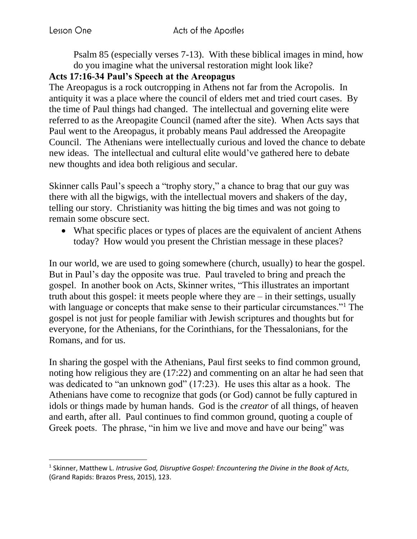l

Psalm 85 (especially verses 7-13). With these biblical images in mind, how do you imagine what the universal restoration might look like?

## **Acts 17:16-34 Paul's Speech at the Areopagus**

The Areopagus is a rock outcropping in Athens not far from the Acropolis. In antiquity it was a place where the council of elders met and tried court cases. By the time of Paul things had changed. The intellectual and governing elite were referred to as the Areopagite Council (named after the site). When Acts says that Paul went to the Areopagus, it probably means Paul addressed the Areopagite Council. The Athenians were intellectually curious and loved the chance to debate new ideas. The intellectual and cultural elite would've gathered here to debate new thoughts and idea both religious and secular.

Skinner calls Paul's speech a "trophy story," a chance to brag that our guy was there with all the bigwigs, with the intellectual movers and shakers of the day, telling our story. Christianity was hitting the big times and was not going to remain some obscure sect.

• What specific places or types of places are the equivalent of ancient Athens today? How would you present the Christian message in these places?

In our world, we are used to going somewhere (church, usually) to hear the gospel. But in Paul's day the opposite was true. Paul traveled to bring and preach the gospel. In another book on Acts, Skinner writes, "This illustrates an important truth about this gospel: it meets people where they are – in their settings, usually with language or concepts that make sense to their particular circumstances."<sup>1</sup> The gospel is not just for people familiar with Jewish scriptures and thoughts but for everyone, for the Athenians, for the Corinthians, for the Thessalonians, for the Romans, and for us.

In sharing the gospel with the Athenians, Paul first seeks to find common ground, noting how religious they are (17:22) and commenting on an altar he had seen that was dedicated to "an unknown god" (17:23). He uses this altar as a hook. The Athenians have come to recognize that gods (or God) cannot be fully captured in idols or things made by human hands. God is the *creator* of all things, of heaven and earth, after all. Paul continues to find common ground, quoting a couple of Greek poets. The phrase, "in him we live and move and have our being" was

<sup>1</sup> Skinner, Matthew L. *Intrusive God, Disruptive Gospel: Encountering the Divine in the Book of Acts*, (Grand Rapids: Brazos Press, 2015), 123.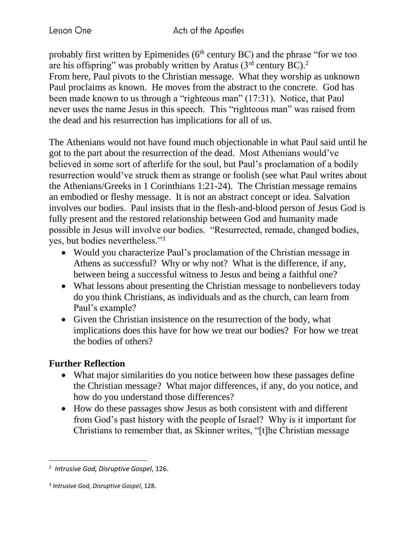probably first written by Epimenides ( $6<sup>th</sup>$  century BC) and the phrase "for we too are his offspring" was probably written by Aratus  $(3<sup>rd</sup>$  century BC).<sup>2</sup> From here, Paul pivots to the Christian message. What they worship as unknown Paul proclaims as known. He moves from the abstract to the concrete. God has been made known to us through a "righteous man" (17:31). Notice, that Paul never uses the name Jesus in this speech. This "righteous man" was raised from the dead and his resurrection has implications for all of us.

The Athenians would not have found much objectionable in what Paul said until he got to the part about the resurrection of the dead. Most Athenians would've believed in some sort of afterlife for the soul, but Paul's proclamation of a bodily resurrection would've struck them as strange or foolish (see what Paul writes about the Athenians/Greeks in 1 Corinthians 1:21-24). The Christian message remains an embodied or fleshy message. It is not an abstract concept or idea. Salvation involves our bodies. Paul insists that in the flesh-and-blood person of Jesus God is fully present and the restored relationship between God and humanity made possible in Jesus will involve our bodies. "Resurrected, remade, changed bodies, yes, but bodies nevertheless."<sup>3</sup>

- Would you characterize Paul's proclamation of the Christian message in Athens as successful? Why or why not? What is the difference, if any, between being a successful witness to Jesus and being a faithful one?
- What lessons about presenting the Christian message to nonbelievers today do you think Christians, as individuals and as the church, can learn from Paul's example?
- Given the Christian insistence on the resurrection of the body, what implications does this have for how we treat our bodies? For how we treat the bodies of others?

## **Further Reflection**

 $\overline{\phantom{a}}$ 

- What major similarities do you notice between how these passages define the Christian message? What major differences, if any, do you notice, and how do you understand those differences?
- How do these passages show Jesus as both consistent with and different from God's past history with the people of Israel? Why is it important for Christians to remember that, as Skinner writes, "[t]he Christian message

<sup>2</sup> *Intrusive God, Disruptive Gospel*, 126.

<sup>3</sup> *Intrusive God, Disruptive Gospel*, 128.